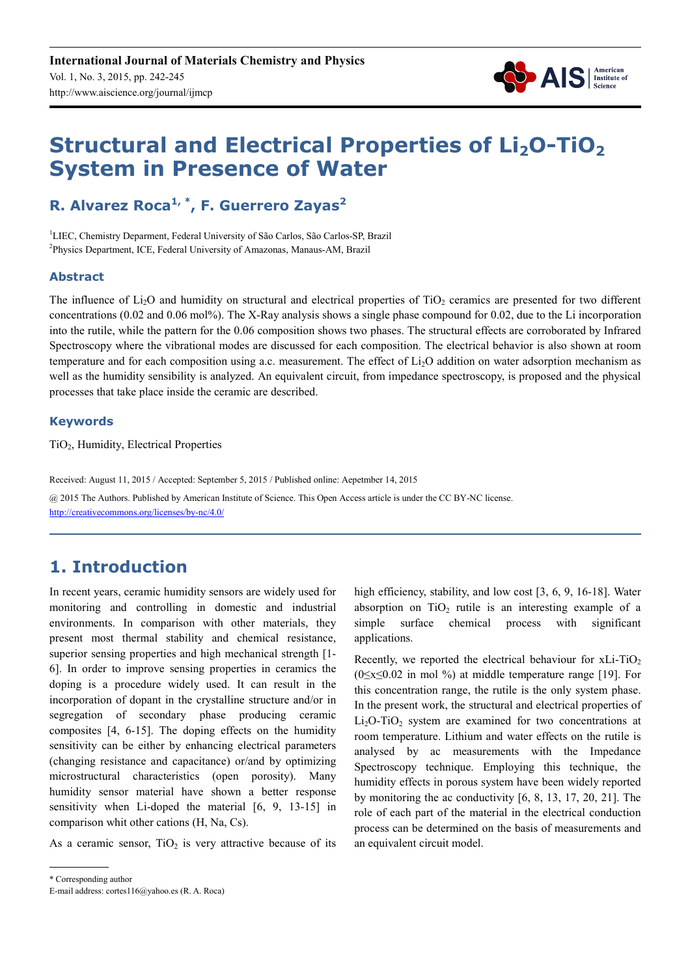

# **Structural and Electrical Properties of Li2O-TiO<sup>2</sup> System in Presence of Water**

**R. Alvarez Roca1, \*, F. Guerrero Zayas<sup>2</sup>**

<sup>1</sup>LIEC, Chemistry Deparment, Federal University of São Carlos, São Carlos-SP, Brazil <sup>2</sup>Physics Department, ICE, Federal University of Amazonas, Manaus-AM, Brazil

#### **Abstract**

The influence of  $Li<sub>2</sub>O$  and humidity on structural and electrical properties of  $TiO<sub>2</sub>$  ceramics are presented for two different concentrations  $(0.02 \text{ and } 0.06 \text{ mol\%})$ . The X-Ray analysis shows a single phase compound for 0.02, due to the Li incorporation into the rutile, while the pattern for the 0.06 composition shows two phases. The structural effects are corroborated by Infrared Spectroscopy where the vibrational modes are discussed for each composition. The electrical behavior is also shown at room temperature and for each composition using a.c. measurement. The effect of Li2O addition on water adsorption mechanism as well as the humidity sensibility is analyzed. An equivalent circuit, from impedance spectroscopy, is proposed and the physical processes that take place inside the ceramic are described.

#### **Keywords**

TiO<sub>2</sub>, Humidity, Electrical Properties

Received: August 11, 2015 / Accepted: September 5, 2015 / Published online: Aepetmber 14, 2015 @ 2015 The Authors. Published by American Institute of Science. This Open Access article is under the CC BY-NC license. http://creativecommons.org/licenses/by-nc/4.0/

# **1. Introduction**

In recent years, ceramic humidity sensors are widely used for monitoring and controlling in domestic and industrial environments. In comparison with other materials, they present most thermal stability and chemical resistance, superior sensing properties and high mechanical strength [1-6]. In order to improve sensing properties in ceramics the doping is a procedure widely used. It can result in the incorporation of dopant in the crystalline structure and/or in segregation of secondary phase producing ceramic composites [4, 6-15]. The doping effects on the humidity sensitivity can be either by enhancing electrical parameters (changing resistance and capacitance) or/and by optimizing microstructural characteristics (open porosity). Many humidity sensor material have shown a better response sensitivity when Li-doped the material [6, 9, 13-15] in comparison whit other cations (H, Na, Cs).

As a ceramic sensor,  $TiO<sub>2</sub>$  is very attractive because of its

\* Corresponding author E-mail address: cortes116@yahoo.es (R. A. Roca) high efficiency, stability, and low cost [3, 6, 9, 16-18]. Water absorption on  $TiO<sub>2</sub>$  rutile is an interesting example of a simple surface chemical process with significant applications.

Recently, we reported the electrical behaviour for  $xLi-TiO<sub>2</sub>$ (0≤x≤0.02 in mol %) at middle temperature range [19]. For this concentration range, the rutile is the only system phase. In the present work, the structural and electrical properties of  $Li<sub>2</sub>O-TiO<sub>2</sub>$  system are examined for two concentrations at room temperature. Lithium and water effects on the rutile is analysed by ac measurements with the Impedance Spectroscopy technique. Employing this technique, the humidity effects in porous system have been widely reported by monitoring the ac conductivity [6, 8, 13, 17, 20, 21]. The role of each part of the material in the electrical conduction process can be determined on the basis of measurements and an equivalent circuit model.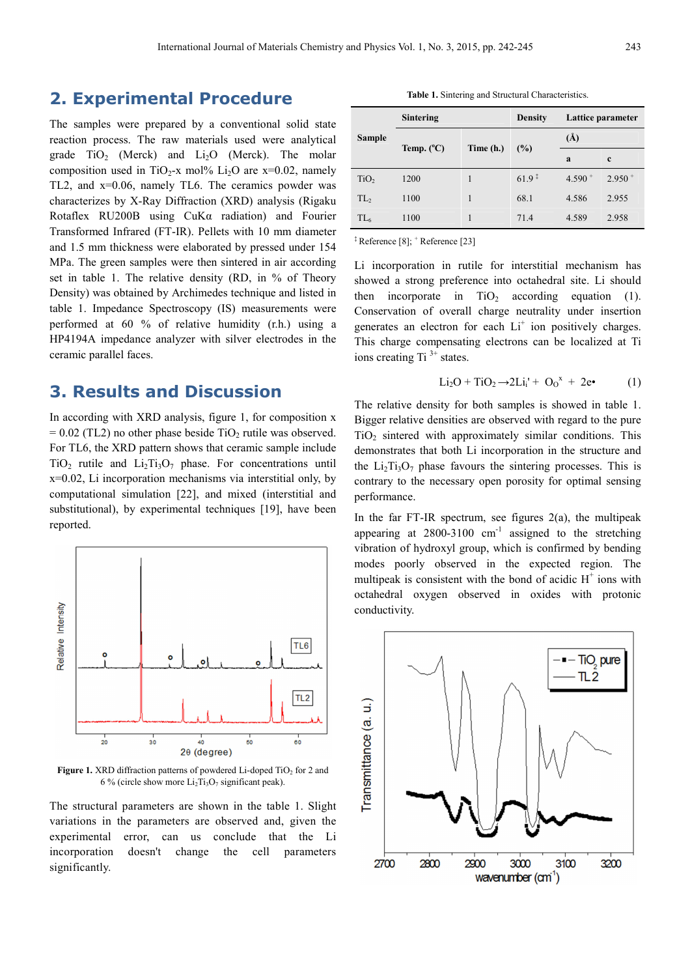### **2. Experimental Procedure**

The samples were prepared by a conventional solid state reaction process. The raw materials used were analytical grade  $TiO<sub>2</sub>$  (Merck) and  $Li<sub>2</sub>O$  (Merck). The molar composition used in TiO<sub>2</sub>-x mol% Li<sub>2</sub>O are x=0.02, namely TL2, and x=0.06, namely TL6. The ceramics powder was characterizes by X-Ray Diffraction (XRD) analysis (Rigaku Rotaflex RU200B using CuKα radiation) and Fourier Transformed Infrared (FT-IR). Pellets with 10 mm diameter and 1.5 mm thickness were elaborated by pressed under 154 MPa. The green samples were then sintered in air according set in table 1. The relative density (RD, in % of Theory Density) was obtained by Archimedes technique and listed in table 1. Impedance Spectroscopy (IS) measurements were performed at 60 % of relative humidity (r.h.) using a HP4194A impedance analyzer with silver electrodes in the ceramic parallel faces.

#### **3. Results and Discussion**

In according with XRD analysis, figure 1, for composition x  $= 0.02$  (TL2) no other phase beside TiO<sub>2</sub> rutile was observed. For TL6, the XRD pattern shows that ceramic sample include  $TiO<sub>2</sub>$  rutile and  $Li<sub>2</sub>Ti<sub>3</sub>O<sub>7</sub>$  phase. For concentrations until x=0.02, Li incorporation mechanisms via interstitial only, by computational simulation [22], and mixed (interstitial and substitutional), by experimental techniques [19], have been reported.



**Figure 1.** XRD diffraction patterns of powdered Li-doped TiO<sub>2</sub> for 2 and 6 % (circle show more  $Li<sub>2</sub>Ti<sub>3</sub>O<sub>7</sub>$  significant peak).

The structural parameters are shown in the table 1. Slight variations in the parameters are observed and, given the experimental error, can us conclude that the Li incorporation doesn't change the cell parameters significantly.

| <b>Sample</b>    | <b>Sintering</b>    |           | <b>Density</b> | Lattice parameter |             |
|------------------|---------------------|-----------|----------------|-------------------|-------------|
|                  | Temp. $(^{\circ}C)$ | Time (h.) | (%)            | $\rm(\AA)$        |             |
|                  |                     |           |                | a                 | $\mathbf c$ |
| TiO <sub>2</sub> | 1200                |           | $61.9*$        | $4.590 +$         | $2.950 +$   |
| TL <sub>2</sub>  | 1100                |           | 68.1           | 4.586             | 2.955       |
| TL <sub>6</sub>  | 1100                |           | 71.4           | 4.589             | 2.958       |

‡ Reference [8]; <sup>+</sup> Reference [23]

Li incorporation in rutile for interstitial mechanism has showed a strong preference into octahedral site. Li should then incorporate in  $TiO<sub>2</sub>$  according equation (1). Conservation of overall charge neutrality under insertion generates an electron for each  $Li<sup>+</sup>$  ion positively charges. This charge compensating electrons can be localized at Ti ions creating Ti<sup> $3+$ </sup> states.

$$
Li_2O + TiO_2 \rightarrow 2Li_i' + O_0^x + 2e \bullet (1)
$$

The relative density for both samples is showed in table 1. Bigger relative densities are observed with regard to the pure  $TiO<sub>2</sub>$  sintered with approximately similar conditions. This demonstrates that both Li incorporation in the structure and the  $Li<sub>2</sub>Ti<sub>3</sub>O<sub>7</sub>$  phase favours the sintering processes. This is contrary to the necessary open porosity for optimal sensing performance.

In the far FT-IR spectrum, see figures  $2(a)$ , the multipeak appearing at  $2800-3100$  cm<sup>-1</sup> assigned to the stretching vibration of hydroxyl group, which is confirmed by bending modes poorly observed in the expected region. The multipeak is consistent with the bond of acidic  $H^+$  ions with octahedral oxygen observed in oxides with protonic conductivity.

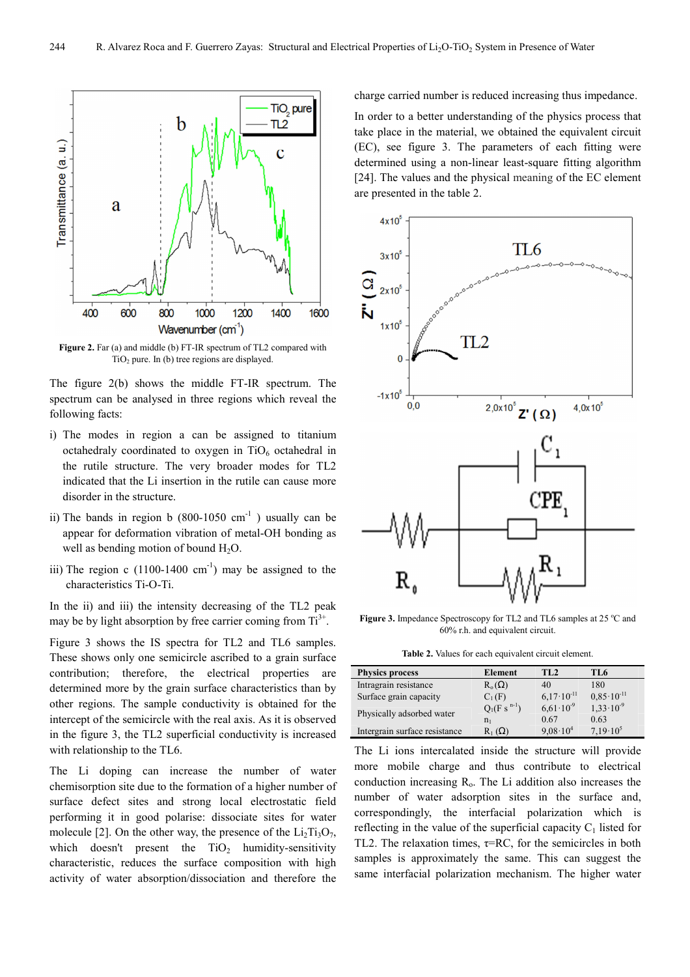

**Figure 2.** Far (a) and middle (b) FT-IR spectrum of TL2 compared with TiO2 pure. In (b) tree regions are displayed.

The figure 2(b) shows the middle FT-IR spectrum. The spectrum can be analysed in three regions which reveal the following facts:

- i) The modes in region a can be assigned to titanium octahedraly coordinated to oxygen in  $TiO<sub>6</sub>$  octahedral in the rutile structure. The very broader modes for TL2 indicated that the Li insertion in the rutile can cause more disorder in the structure.
- ii) The bands in region b  $(800-1050 \text{ cm}^{-1})$  usually can be appear for deformation vibration of metal-OH bonding as well as bending motion of bound  $H_2O$ .
- iii) The region c  $(1100-1400 \text{ cm}^{-1})$  may be assigned to the characteristics Ti-O-Ti.

In the ii) and iii) the intensity decreasing of the TL2 peak may be by light absorption by free carrier coming from  $Ti<sup>3+</sup>$ .

Figure 3 shows the IS spectra for TL2 and TL6 samples. These shows only one semicircle ascribed to a grain surface contribution; therefore, the electrical properties are determined more by the grain surface characteristics than by other regions. The sample conductivity is obtained for the intercept of the semicircle with the real axis. As it is observed in the figure 3, the TL2 superficial conductivity is increased with relationship to the TL6.

The Li doping can increase the number of water chemisorption site due to the formation of a higher number of surface defect sites and strong local electrostatic field performing it in good polarise: dissociate sites for water molecule [2]. On the other way, the presence of the  $Li<sub>2</sub>Ti<sub>3</sub>O<sub>7</sub>$ , which doesn't present the  $TiO<sub>2</sub>$  humidity-sensitivity characteristic, reduces the surface composition with high activity of water absorption/dissociation and therefore the

charge carried number is reduced increasing thus impedance.

In order to a better understanding of the physics process that take place in the material, we obtained the equivalent circuit (EC), see figure 3. The parameters of each fitting were determined using a non-linear least-square fitting algorithm [24]. The values and the physical meaning of the EC element are presented in the table 2.



**Figure 3.** Impedance Spectroscopy for TL2 and TL6 samples at 25 °C and 60% r.h. and equivalent circuit.

**Table 2.** Values for each equivalent circuit element.

| <b>Physics process</b>        | Element             | TL <sub>2</sub>       | TL <sub>6</sub>       |
|-------------------------------|---------------------|-----------------------|-----------------------|
| Intragrain resistance         | $R_{o}(\Omega)$     | 40                    | 180                   |
| Surface grain capacity        | $C_1(F)$            | $6.17 \cdot 10^{-11}$ | $0.85 \cdot 10^{-11}$ |
| Physically adsorbed water     | $Q_1(F \, s^{n-1})$ | $6.61 \cdot 10^{-9}$  | $1,33 \cdot 10^{-9}$  |
|                               | $n_{1}$             | 0.67                  | 0.63                  |
| Intergrain surface resistance | $R_1(\Omega)$       | $9.08 \cdot 10^{4}$   | $7.19 \cdot 10^5$     |

The Li ions intercalated inside the structure will provide more mobile charge and thus contribute to electrical conduction increasing  $R<sub>o</sub>$ . The Li addition also increases the number of water adsorption sites in the surface and, correspondingly, the interfacial polarization which is reflecting in the value of the superficial capacity  $C_1$  listed for TL2. The relaxation times,  $\tau$ =RC, for the semicircles in both samples is approximately the same. This can suggest the same interfacial polarization mechanism. The higher water